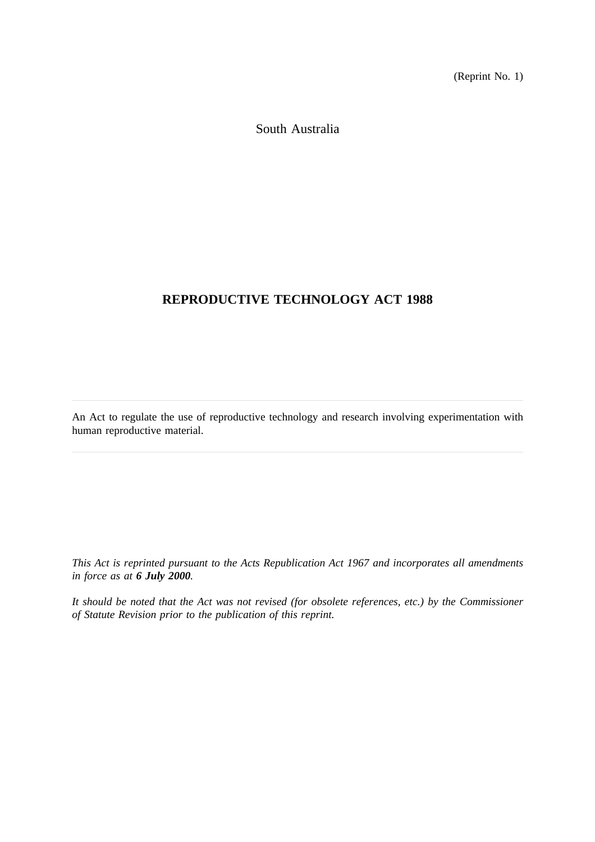(Reprint No. 1)

South Australia

# **REPRODUCTIVE TECHNOLOGY ACT 1988**

An Act to regulate the use of reproductive technology and research involving experimentation with human reproductive material.

*This Act is reprinted pursuant to the Acts Republication Act 1967 and incorporates all amendments in force as at 6 July 2000.*

*It should be noted that the Act was not revised (for obsolete references, etc.) by the Commissioner of Statute Revision prior to the publication of this reprint.*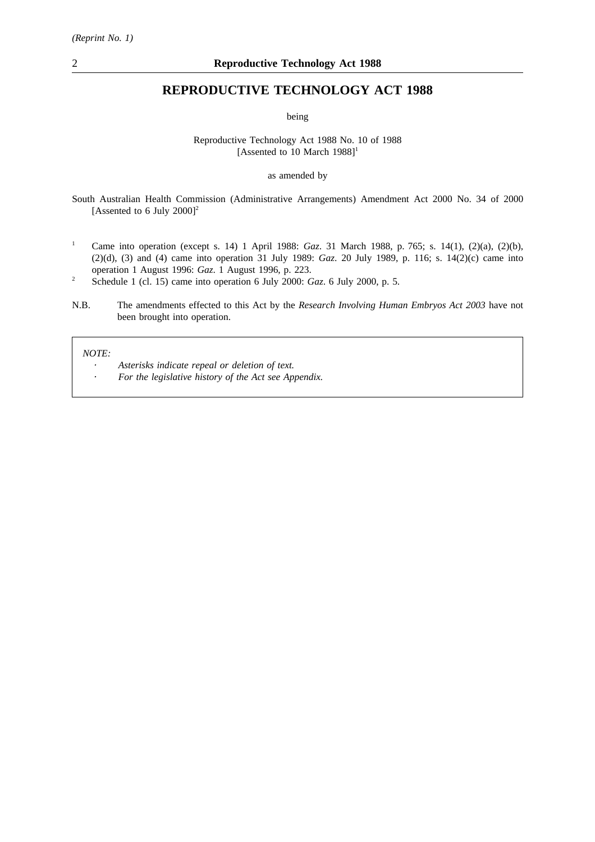## **REPRODUCTIVE TECHNOLOGY ACT 1988**

being

#### Reproductive Technology Act 1988 No. 10 of 1988 [Assented to 10 March  $1988$ ]<sup>1</sup>

#### as amended by

South Australian Health Commission (Administrative Arrangements) Amendment Act 2000 No. 34 of 2000 [Assented to 6 July  $2000$ ]<sup>2</sup>

- <sup>1</sup> Came into operation (except s. 14) 1 April 1988: *Gaz*. 31 March 1988, p. 765; s. 14(1), (2)(a), (2)(b), (2)(d), (3) and (4) came into operation 31 July 1989: *Gaz*. 20 July 1989, p. 116; s. 14(2)(c) came into operation 1 August 1996: *Gaz*. 1 August 1996, p. 223.
- <sup>2</sup> Schedule 1 (cl. 15) came into operation 6 July 2000: *Gaz*. 6 July 2000, p. 5.
- N.B. The amendments effected to this Act by the *Research Involving Human Embryos Act 2003* have not been brought into operation.

*NOTE:*

- *Asterisks indicate repeal or deletion of text.*
- *For the legislative history of the Act see Appendix.*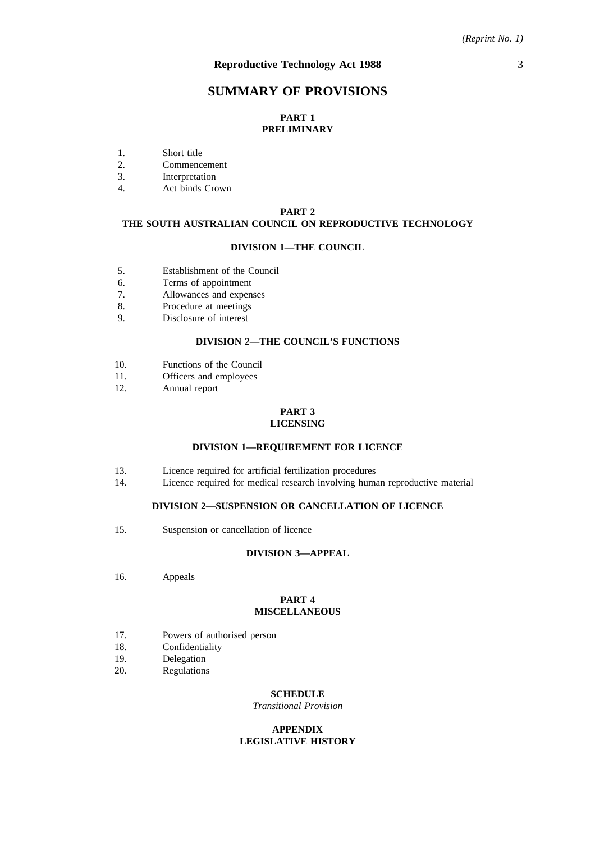## **SUMMARY OF PROVISIONS**

### **PART 1 PRELIMINARY**

- 1. Short title
- 2. Commencement
- 3. Interpretation
- 4. Act binds Crown

#### **PART 2**

## **THE SOUTH AUSTRALIAN COUNCIL ON REPRODUCTIVE TECHNOLOGY**

#### **DIVISION 1—THE COUNCIL**

- 5. Establishment of the Council
- 6. Terms of appointment
- 7. Allowances and expenses
- 8. Procedure at meetings
- 9. Disclosure of interest

### **DIVISION 2—THE COUNCIL'S FUNCTIONS**

- 10. Functions of the Council
- 11. Officers and employees<br>12. Annual report
- Annual report

#### **PART 3 LICENSING**

#### **DIVISION 1—REQUIREMENT FOR LICENCE**

- 13. Licence required for artificial fertilization procedures
- 14. Licence required for medical research involving human reproductive material

#### **DIVISION 2—SUSPENSION OR CANCELLATION OF LICENCE**

15. Suspension or cancellation of licence

#### **DIVISION 3—APPEAL**

16. Appeals

#### **PART 4 MISCELLANEOUS**

- 17. Powers of authorised person
- 18. Confidentiality
- 19. Delegation
- 20. Regulations

### **SCHEDULE**

*Transitional Provision*

#### **APPENDIX LEGISLATIVE HISTORY**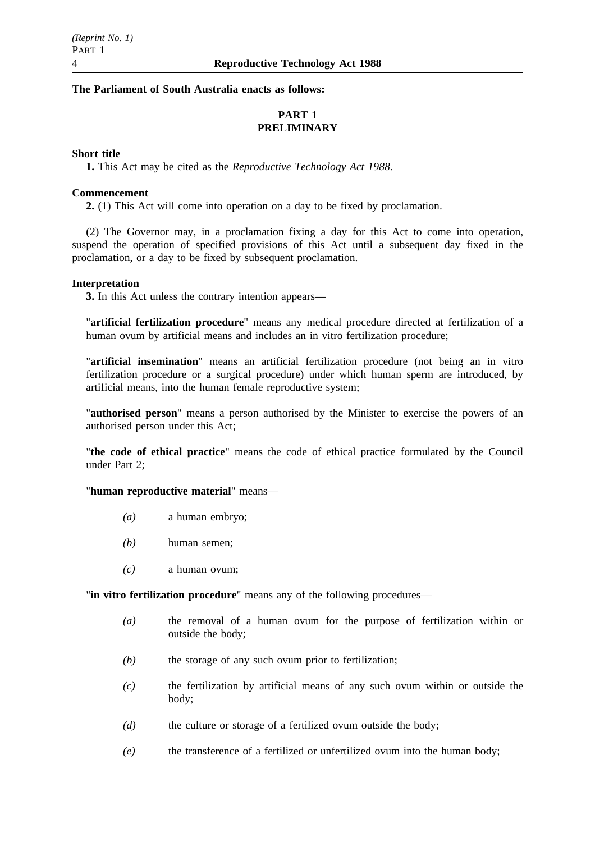### **The Parliament of South Australia enacts as follows:**

## **PART 1 PRELIMINARY**

#### **Short title**

**1.** This Act may be cited as the *Reproductive Technology Act 1988*.

#### **Commencement**

**2.** (1) This Act will come into operation on a day to be fixed by proclamation.

(2) The Governor may, in a proclamation fixing a day for this Act to come into operation, suspend the operation of specified provisions of this Act until a subsequent day fixed in the proclamation, or a day to be fixed by subsequent proclamation.

### **Interpretation**

**3.** In this Act unless the contrary intention appears—

"**artificial fertilization procedure**" means any medical procedure directed at fertilization of a human ovum by artificial means and includes an in vitro fertilization procedure;

"**artificial insemination**" means an artificial fertilization procedure (not being an in vitro fertilization procedure or a surgical procedure) under which human sperm are introduced, by artificial means, into the human female reproductive system;

"**authorised person**" means a person authorised by the Minister to exercise the powers of an authorised person under this Act;

"**the code of ethical practice**" means the code of ethical practice formulated by the Council under Part 2;

#### "**human reproductive material**" means—

- *(a)* a human embryo;
- *(b)* human semen;
- *(c)* a human ovum;

"**in vitro fertilization procedure**" means any of the following procedures—

- *(a)* the removal of a human ovum for the purpose of fertilization within or outside the body;
- *(b)* the storage of any such ovum prior to fertilization;
- *(c)* the fertilization by artificial means of any such ovum within or outside the body;
- *(d)* the culture or storage of a fertilized ovum outside the body;
- *(e)* the transference of a fertilized or unfertilized ovum into the human body;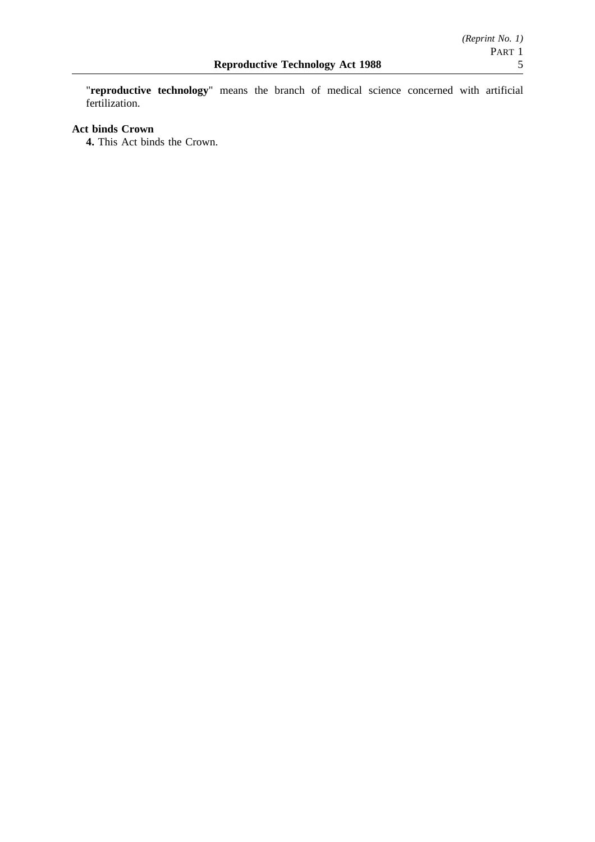"**reproductive technology**" means the branch of medical science concerned with artificial fertilization.

## **Act binds Crown**

**4.** This Act binds the Crown.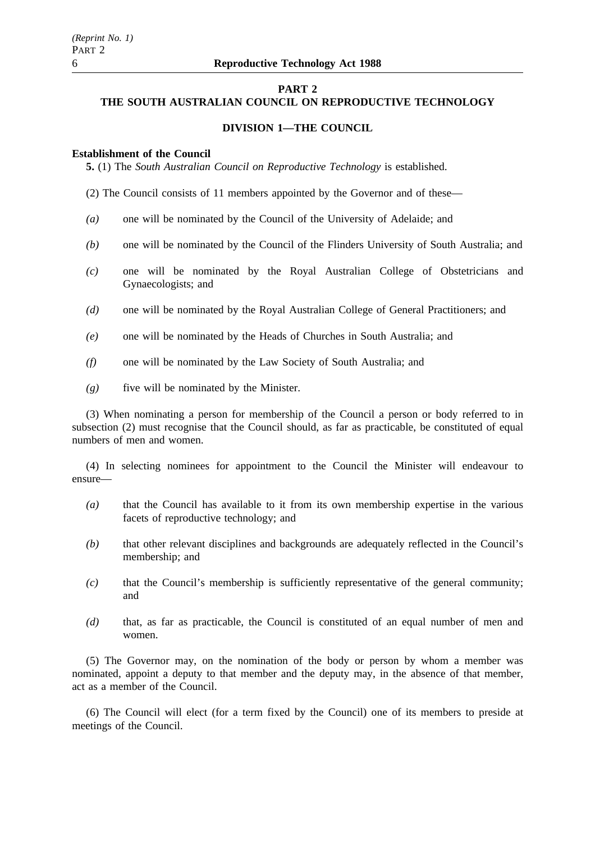#### **PART 2**

## **THE SOUTH AUSTRALIAN COUNCIL ON REPRODUCTIVE TECHNOLOGY**

### **DIVISION 1—THE COUNCIL**

#### **Establishment of the Council**

**5.** (1) The *South Australian Council on Reproductive Technology* is established.

(2) The Council consists of 11 members appointed by the Governor and of these—

- *(a)* one will be nominated by the Council of the University of Adelaide; and
- *(b)* one will be nominated by the Council of the Flinders University of South Australia; and
- *(c)* one will be nominated by the Royal Australian College of Obstetricians and Gynaecologists; and
- *(d)* one will be nominated by the Royal Australian College of General Practitioners; and
- *(e)* one will be nominated by the Heads of Churches in South Australia; and
- *(f)* one will be nominated by the Law Society of South Australia; and
- *(g)* five will be nominated by the Minister.

(3) When nominating a person for membership of the Council a person or body referred to in subsection (2) must recognise that the Council should, as far as practicable, be constituted of equal numbers of men and women.

(4) In selecting nominees for appointment to the Council the Minister will endeavour to ensure—

- *(a)* that the Council has available to it from its own membership expertise in the various facets of reproductive technology; and
- *(b)* that other relevant disciplines and backgrounds are adequately reflected in the Council's membership; and
- *(c)* that the Council's membership is sufficiently representative of the general community; and
- *(d)* that, as far as practicable, the Council is constituted of an equal number of men and women.

(5) The Governor may, on the nomination of the body or person by whom a member was nominated, appoint a deputy to that member and the deputy may, in the absence of that member, act as a member of the Council.

(6) The Council will elect (for a term fixed by the Council) one of its members to preside at meetings of the Council.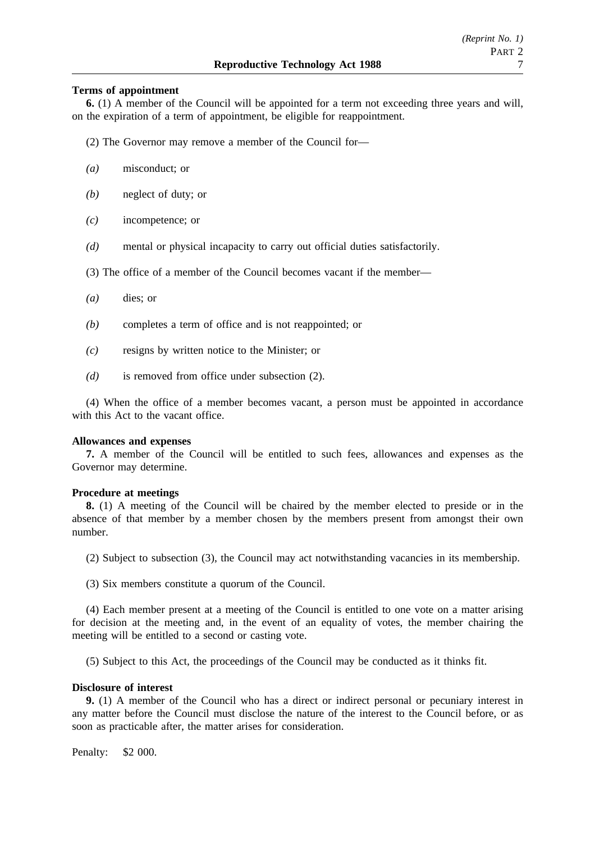#### **Terms of appointment**

**6.** (1) A member of the Council will be appointed for a term not exceeding three years and will, on the expiration of a term of appointment, be eligible for reappointment.

(2) The Governor may remove a member of the Council for—

- *(a)* misconduct; or
- *(b)* neglect of duty; or
- *(c)* incompetence; or
- *(d)* mental or physical incapacity to carry out official duties satisfactorily.
- (3) The office of a member of the Council becomes vacant if the member—
- *(a)* dies; or
- *(b)* completes a term of office and is not reappointed; or
- *(c)* resigns by written notice to the Minister; or
- *(d)* is removed from office under subsection (2).

(4) When the office of a member becomes vacant, a person must be appointed in accordance with this Act to the vacant office.

#### **Allowances and expenses**

**7.** A member of the Council will be entitled to such fees, allowances and expenses as the Governor may determine.

#### **Procedure at meetings**

**8.** (1) A meeting of the Council will be chaired by the member elected to preside or in the absence of that member by a member chosen by the members present from amongst their own number.

(2) Subject to subsection (3), the Council may act notwithstanding vacancies in its membership.

(3) Six members constitute a quorum of the Council.

(4) Each member present at a meeting of the Council is entitled to one vote on a matter arising for decision at the meeting and, in the event of an equality of votes, the member chairing the meeting will be entitled to a second or casting vote.

(5) Subject to this Act, the proceedings of the Council may be conducted as it thinks fit.

#### **Disclosure of interest**

**9.** (1) A member of the Council who has a direct or indirect personal or pecuniary interest in any matter before the Council must disclose the nature of the interest to the Council before, or as soon as practicable after, the matter arises for consideration.

Penalty: \$2 000.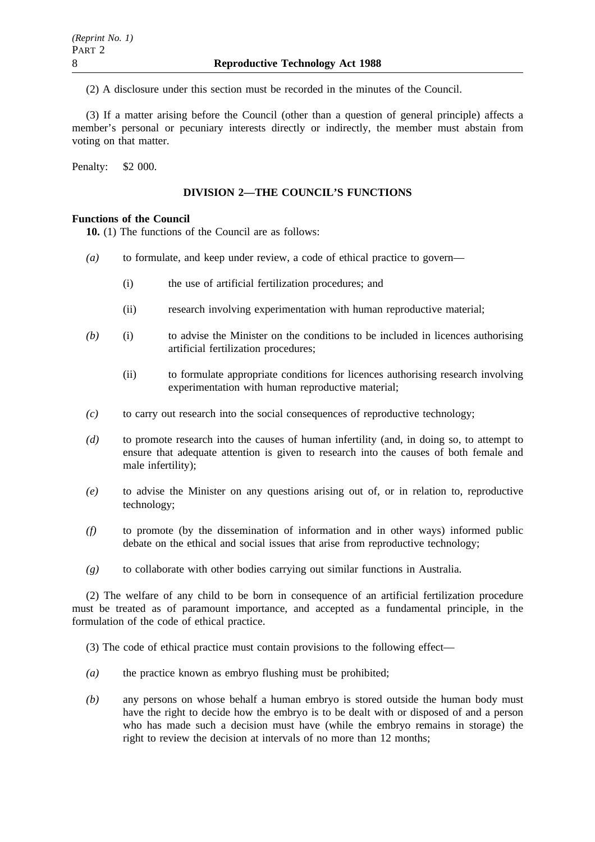(2) A disclosure under this section must be recorded in the minutes of the Council.

(3) If a matter arising before the Council (other than a question of general principle) affects a member's personal or pecuniary interests directly or indirectly, the member must abstain from voting on that matter.

Penalty: \$2 000.

## **DIVISION 2—THE COUNCIL'S FUNCTIONS**

## **Functions of the Council**

**10.** (1) The functions of the Council are as follows:

- *(a)* to formulate, and keep under review, a code of ethical practice to govern—
	- (i) the use of artificial fertilization procedures; and
	- (ii) research involving experimentation with human reproductive material;
- *(b)* (i) to advise the Minister on the conditions to be included in licences authorising artificial fertilization procedures;
	- (ii) to formulate appropriate conditions for licences authorising research involving experimentation with human reproductive material;
- *(c)* to carry out research into the social consequences of reproductive technology;
- *(d)* to promote research into the causes of human infertility (and, in doing so, to attempt to ensure that adequate attention is given to research into the causes of both female and male infertility);
- *(e)* to advise the Minister on any questions arising out of, or in relation to, reproductive technology;
- *(f)* to promote (by the dissemination of information and in other ways) informed public debate on the ethical and social issues that arise from reproductive technology;
- *(g)* to collaborate with other bodies carrying out similar functions in Australia.

(2) The welfare of any child to be born in consequence of an artificial fertilization procedure must be treated as of paramount importance, and accepted as a fundamental principle, in the formulation of the code of ethical practice.

(3) The code of ethical practice must contain provisions to the following effect—

- *(a)* the practice known as embryo flushing must be prohibited;
- *(b)* any persons on whose behalf a human embryo is stored outside the human body must have the right to decide how the embryo is to be dealt with or disposed of and a person who has made such a decision must have (while the embryo remains in storage) the right to review the decision at intervals of no more than 12 months;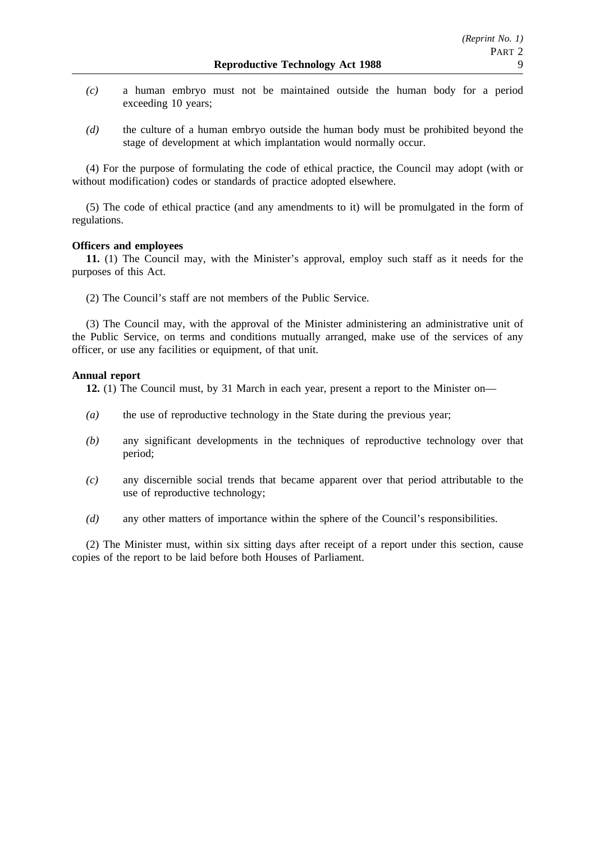- *(c)* a human embryo must not be maintained outside the human body for a period exceeding 10 years;
- *(d)* the culture of a human embryo outside the human body must be prohibited beyond the stage of development at which implantation would normally occur.

(4) For the purpose of formulating the code of ethical practice, the Council may adopt (with or without modification) codes or standards of practice adopted elsewhere.

(5) The code of ethical practice (and any amendments to it) will be promulgated in the form of regulations.

### **Officers and employees**

**11.** (1) The Council may, with the Minister's approval, employ such staff as it needs for the purposes of this Act.

(2) The Council's staff are not members of the Public Service.

(3) The Council may, with the approval of the Minister administering an administrative unit of the Public Service, on terms and conditions mutually arranged, make use of the services of any officer, or use any facilities or equipment, of that unit.

### **Annual report**

**12.** (1) The Council must, by 31 March in each year, present a report to the Minister on—

- *(a)* the use of reproductive technology in the State during the previous year;
- *(b)* any significant developments in the techniques of reproductive technology over that period;
- *(c)* any discernible social trends that became apparent over that period attributable to the use of reproductive technology;
- *(d)* any other matters of importance within the sphere of the Council's responsibilities.

(2) The Minister must, within six sitting days after receipt of a report under this section, cause copies of the report to be laid before both Houses of Parliament.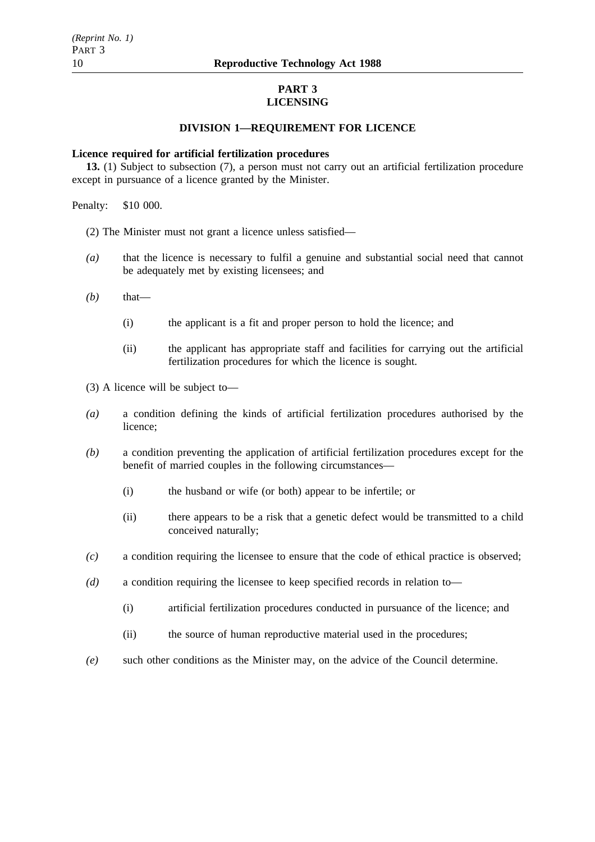### **PART 3 LICENSING**

### **DIVISION 1—REQUIREMENT FOR LICENCE**

#### **Licence required for artificial fertilization procedures**

**13.** (1) Subject to subsection (7), a person must not carry out an artificial fertilization procedure except in pursuance of a licence granted by the Minister.

Penalty: \$10 000.

(2) The Minister must not grant a licence unless satisfied—

- *(a)* that the licence is necessary to fulfil a genuine and substantial social need that cannot be adequately met by existing licensees; and
- *(b)* that—
	- (i) the applicant is a fit and proper person to hold the licence; and
	- (ii) the applicant has appropriate staff and facilities for carrying out the artificial fertilization procedures for which the licence is sought.

(3) A licence will be subject to—

- *(a)* a condition defining the kinds of artificial fertilization procedures authorised by the licence;
- *(b)* a condition preventing the application of artificial fertilization procedures except for the benefit of married couples in the following circumstances—
	- (i) the husband or wife (or both) appear to be infertile; or
	- (ii) there appears to be a risk that a genetic defect would be transmitted to a child conceived naturally;
- *(c)* a condition requiring the licensee to ensure that the code of ethical practice is observed;
- *(d)* a condition requiring the licensee to keep specified records in relation to—
	- (i) artificial fertilization procedures conducted in pursuance of the licence; and
	- (ii) the source of human reproductive material used in the procedures;
- *(e)* such other conditions as the Minister may, on the advice of the Council determine.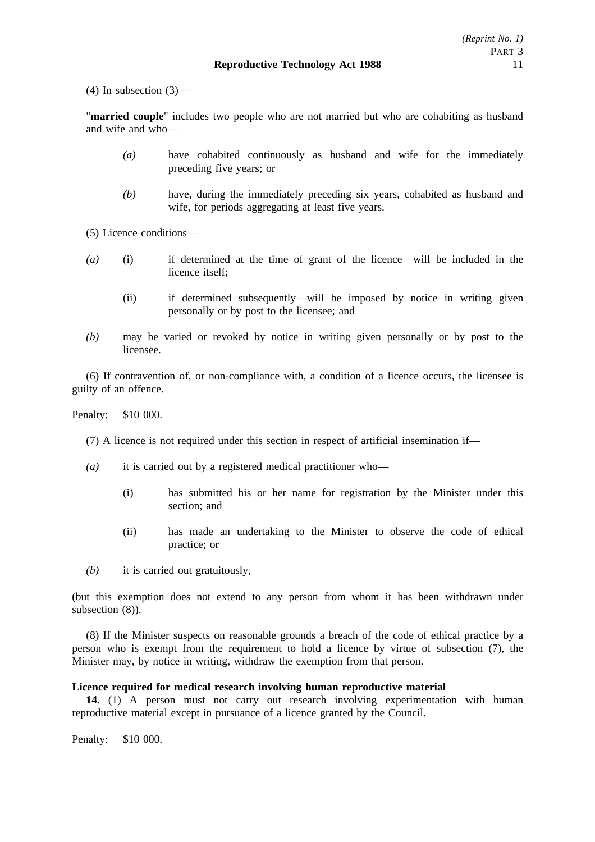(4) In subsection (3)—

"**married couple**" includes two people who are not married but who are cohabiting as husband and wife and who—

- *(a)* have cohabited continuously as husband and wife for the immediately preceding five years; or
- *(b)* have, during the immediately preceding six years, cohabited as husband and wife, for periods aggregating at least five years.

(5) Licence conditions—

- *(a)* (i) if determined at the time of grant of the licence—will be included in the licence itself;
	- (ii) if determined subsequently—will be imposed by notice in writing given personally or by post to the licensee; and
- *(b)* may be varied or revoked by notice in writing given personally or by post to the licensee.

(6) If contravention of, or non-compliance with, a condition of a licence occurs, the licensee is guilty of an offence.

Penalty: \$10 000.

(7) A licence is not required under this section in respect of artificial insemination if—

- *(a)* it is carried out by a registered medical practitioner who—
	- (i) has submitted his or her name for registration by the Minister under this section; and
	- (ii) has made an undertaking to the Minister to observe the code of ethical practice; or

*(b)* it is carried out gratuitously,

(but this exemption does not extend to any person from whom it has been withdrawn under subsection  $(8)$ ).

(8) If the Minister suspects on reasonable grounds a breach of the code of ethical practice by a person who is exempt from the requirement to hold a licence by virtue of subsection (7), the Minister may, by notice in writing, withdraw the exemption from that person.

## **Licence required for medical research involving human reproductive material**

**14.** (1) A person must not carry out research involving experimentation with human reproductive material except in pursuance of a licence granted by the Council.

Penalty: \$10 000.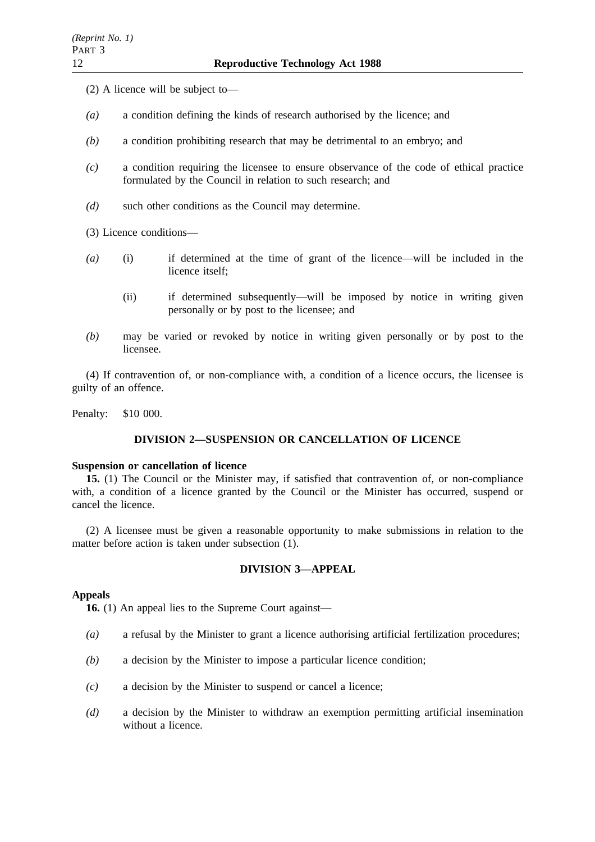- (2) A licence will be subject to—
- *(a)* a condition defining the kinds of research authorised by the licence; and
- *(b)* a condition prohibiting research that may be detrimental to an embryo; and
- *(c)* a condition requiring the licensee to ensure observance of the code of ethical practice formulated by the Council in relation to such research; and
- *(d)* such other conditions as the Council may determine.

(3) Licence conditions—

- *(a)* (i) if determined at the time of grant of the licence—will be included in the licence itself;
	- (ii) if determined subsequently—will be imposed by notice in writing given personally or by post to the licensee; and
- *(b)* may be varied or revoked by notice in writing given personally or by post to the licensee.

(4) If contravention of, or non-compliance with, a condition of a licence occurs, the licensee is guilty of an offence.

Penalty: \$10 000.

### **DIVISION 2—SUSPENSION OR CANCELLATION OF LICENCE**

#### **Suspension or cancellation of licence**

**15.** (1) The Council or the Minister may, if satisfied that contravention of, or non-compliance with, a condition of a licence granted by the Council or the Minister has occurred, suspend or cancel the licence.

(2) A licensee must be given a reasonable opportunity to make submissions in relation to the matter before action is taken under subsection (1).

#### **DIVISION 3—APPEAL**

#### **Appeals**

**16.** (1) An appeal lies to the Supreme Court against—

- *(a)* a refusal by the Minister to grant a licence authorising artificial fertilization procedures;
- *(b)* a decision by the Minister to impose a particular licence condition;
- *(c)* a decision by the Minister to suspend or cancel a licence;
- *(d)* a decision by the Minister to withdraw an exemption permitting artificial insemination without a licence.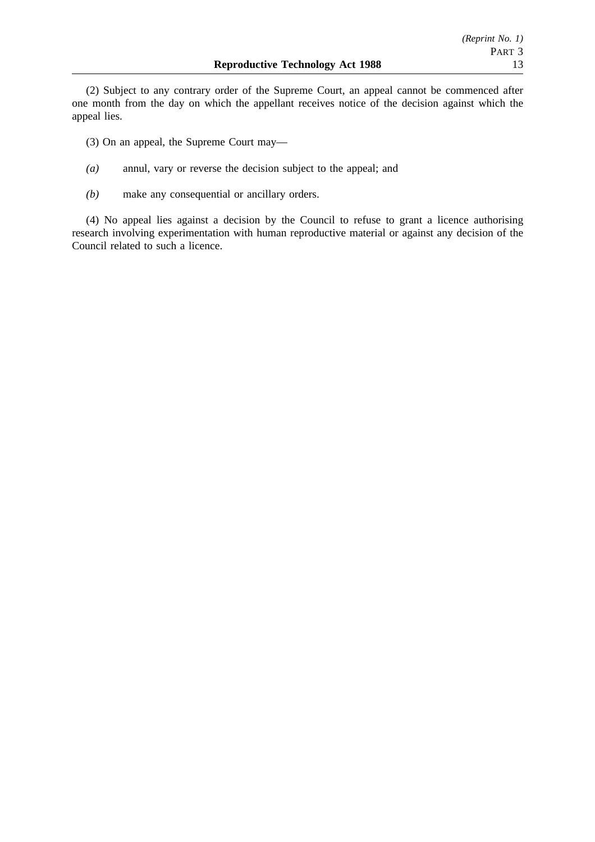(2) Subject to any contrary order of the Supreme Court, an appeal cannot be commenced after one month from the day on which the appellant receives notice of the decision against which the appeal lies.

(3) On an appeal, the Supreme Court may—

- *(a)* annul, vary or reverse the decision subject to the appeal; and
- *(b)* make any consequential or ancillary orders.

(4) No appeal lies against a decision by the Council to refuse to grant a licence authorising research involving experimentation with human reproductive material or against any decision of the Council related to such a licence.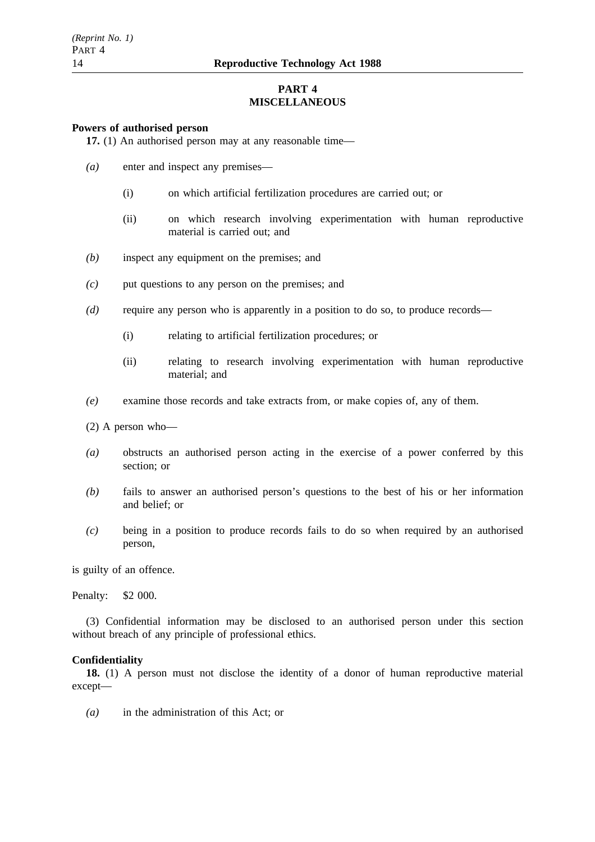## **PART 4 MISCELLANEOUS**

#### **Powers of authorised person**

**17.** (1) An authorised person may at any reasonable time—

- *(a)* enter and inspect any premises—
	- (i) on which artificial fertilization procedures are carried out; or
	- (ii) on which research involving experimentation with human reproductive material is carried out; and
- *(b)* inspect any equipment on the premises; and
- *(c)* put questions to any person on the premises; and
- *(d)* require any person who is apparently in a position to do so, to produce records—
	- (i) relating to artificial fertilization procedures; or
	- (ii) relating to research involving experimentation with human reproductive material; and
- *(e)* examine those records and take extracts from, or make copies of, any of them.
- (2) A person who—
- *(a)* obstructs an authorised person acting in the exercise of a power conferred by this section; or
- *(b)* fails to answer an authorised person's questions to the best of his or her information and belief; or
- *(c)* being in a position to produce records fails to do so when required by an authorised person,

is guilty of an offence.

Penalty: \$2 000.

(3) Confidential information may be disclosed to an authorised person under this section without breach of any principle of professional ethics.

#### **Confidentiality**

**18.** (1) A person must not disclose the identity of a donor of human reproductive material except—

*(a)* in the administration of this Act; or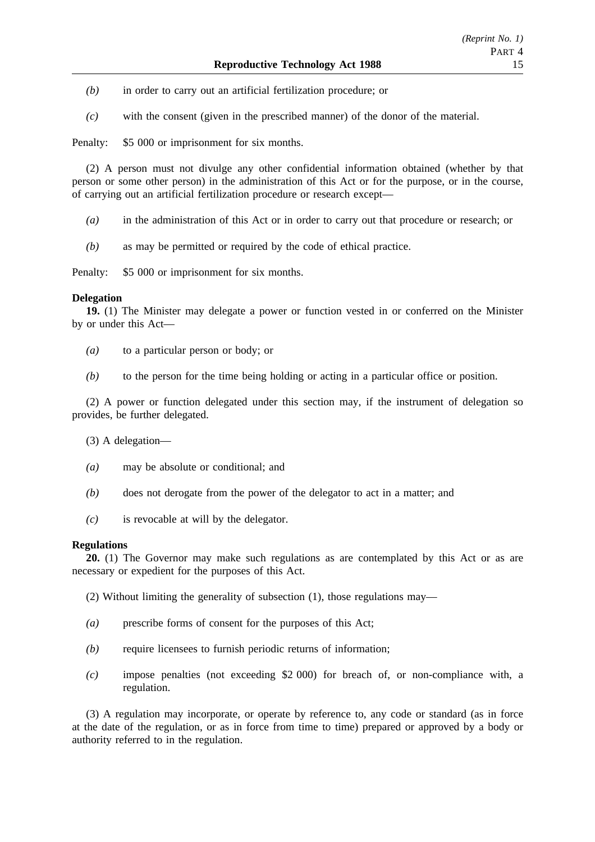- *(b)* in order to carry out an artificial fertilization procedure; or
- *(c)* with the consent (given in the prescribed manner) of the donor of the material.

Penalty: \$5 000 or imprisonment for six months.

(2) A person must not divulge any other confidential information obtained (whether by that person or some other person) in the administration of this Act or for the purpose, or in the course, of carrying out an artificial fertilization procedure or research except—

- *(a)* in the administration of this Act or in order to carry out that procedure or research; or
- *(b)* as may be permitted or required by the code of ethical practice.

Penalty: \$5 000 or imprisonment for six months.

#### **Delegation**

**19.** (1) The Minister may delegate a power or function vested in or conferred on the Minister by or under this Act—

- *(a)* to a particular person or body; or
- *(b)* to the person for the time being holding or acting in a particular office or position.

(2) A power or function delegated under this section may, if the instrument of delegation so provides, be further delegated.

(3) A delegation—

- *(a)* may be absolute or conditional; and
- *(b)* does not derogate from the power of the delegator to act in a matter; and
- *(c)* is revocable at will by the delegator.

### **Regulations**

**20.** (1) The Governor may make such regulations as are contemplated by this Act or as are necessary or expedient for the purposes of this Act.

(2) Without limiting the generality of subsection (1), those regulations may—

- *(a)* prescribe forms of consent for the purposes of this Act;
- *(b)* require licensees to furnish periodic returns of information;
- *(c)* impose penalties (not exceeding \$2 000) for breach of, or non-compliance with, a regulation.

(3) A regulation may incorporate, or operate by reference to, any code or standard (as in force at the date of the regulation, or as in force from time to time) prepared or approved by a body or authority referred to in the regulation.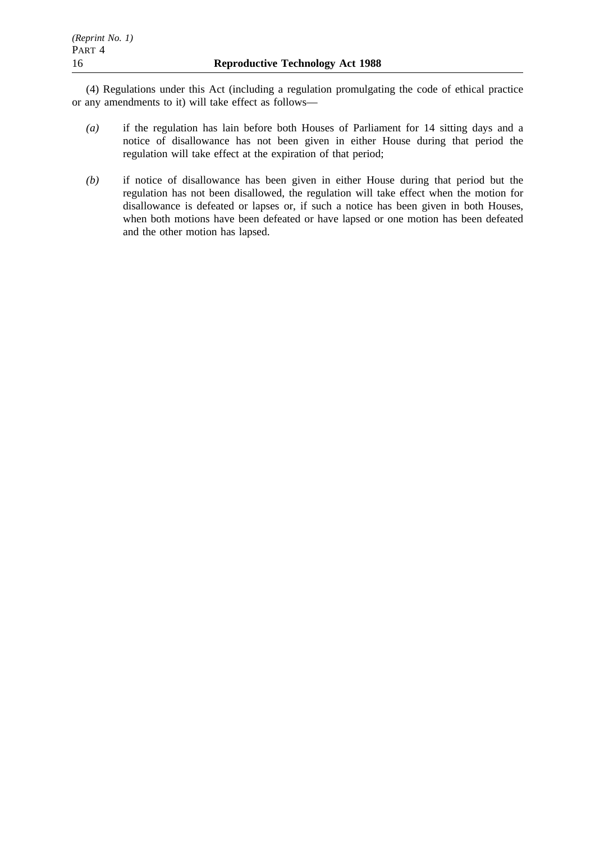(4) Regulations under this Act (including a regulation promulgating the code of ethical practice or any amendments to it) will take effect as follows—

- *(a)* if the regulation has lain before both Houses of Parliament for 14 sitting days and a notice of disallowance has not been given in either House during that period the regulation will take effect at the expiration of that period;
- *(b)* if notice of disallowance has been given in either House during that period but the regulation has not been disallowed, the regulation will take effect when the motion for disallowance is defeated or lapses or, if such a notice has been given in both Houses, when both motions have been defeated or have lapsed or one motion has been defeated and the other motion has lapsed.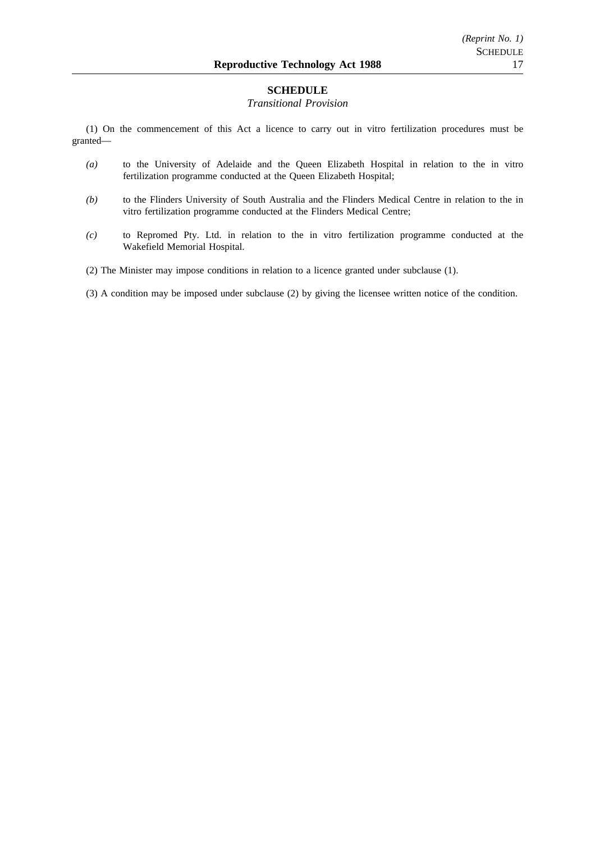### **SCHEDULE**

#### *Transitional Provision*

(1) On the commencement of this Act a licence to carry out in vitro fertilization procedures must be granted—

- *(a)* to the University of Adelaide and the Queen Elizabeth Hospital in relation to the in vitro fertilization programme conducted at the Queen Elizabeth Hospital;
- *(b)* to the Flinders University of South Australia and the Flinders Medical Centre in relation to the in vitro fertilization programme conducted at the Flinders Medical Centre;
- *(c)* to Repromed Pty. Ltd. in relation to the in vitro fertilization programme conducted at the Wakefield Memorial Hospital.
- (2) The Minister may impose conditions in relation to a licence granted under subclause (1).
- (3) A condition may be imposed under subclause (2) by giving the licensee written notice of the condition.